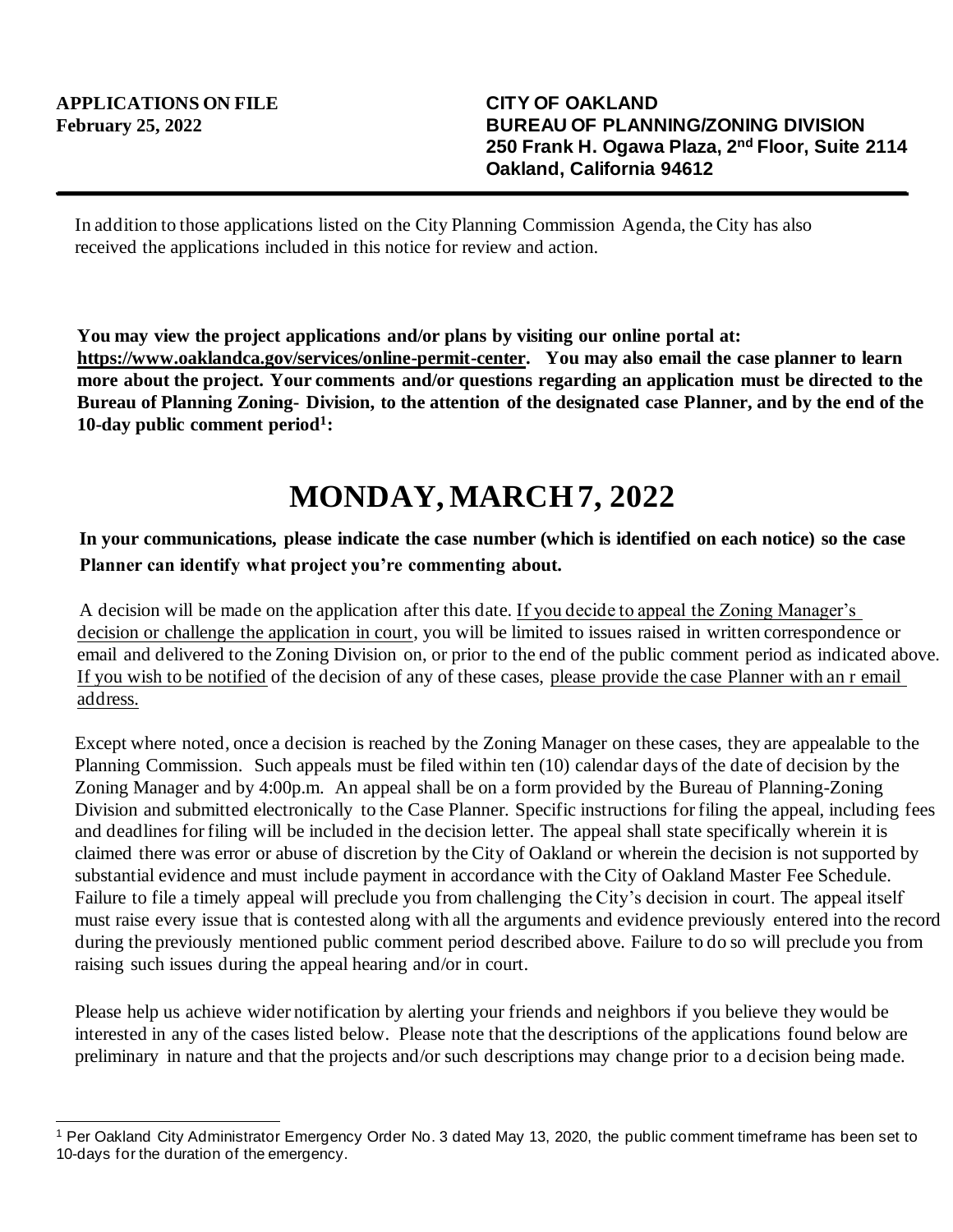In addition to those applications listed on the City Planning Commission Agenda, the City has also received the applications included in this notice for review and action.

**You may view the project applications and/or plans by visiting our online portal at: https://www.oaklandca.gov/services/online-permit-center. You may also email the case planner to learn more about the project. Your comments and/or questions regarding an application must be directed to the Bureau of Planning Zoning- Division, to the attention of the designated case Planner, and by the end of the 10-day public comment period<sup>1</sup> :**

## **MONDAY, MARCH 7, 2022**

## **In your communications, please indicate the case number (which is identified on each notice) so the case Planner can identify what project you're commenting about.**

A decision will be made on the application after this date. If you decide to appeal the Zoning Manager's decision or challenge the application in court, you will be limited to issues raised in written correspondence or email and delivered to the Zoning Division on, or prior to the end of the public comment period as indicated above. If you wish to be notified of the decision of any of these cases, please provide the case Planner with an r email address.

Except where noted, once a decision is reached by the Zoning Manager on these cases, they are appealable to the Planning Commission. Such appeals must be filed within ten (10) calendar days of the date of decision by the Zoning Manager and by 4:00p.m. An appeal shall be on a form provided by the Bureau of Planning-Zoning Division and submitted electronically to the Case Planner. Specific instructions for filing the appeal, including fees and deadlines for filing will be included in the decision letter. The appeal shall state specifically wherein it is claimed there was error or abuse of discretion by the City of Oakland or wherein the decision is not supported by substantial evidence and must include payment in accordance with the City of Oakland Master Fee Schedule. Failure to file a timely appeal will preclude you from challenging the City's decision in court. The appeal itself must raise every issue that is contested along with all the arguments and evidence previously entered into the record during the previously mentioned public comment period described above. Failure to do so will preclude you from raising such issues during the appeal hearing and/or in court.

Please help us achieve wider notification by alerting your friends and neighbors if you believe they would be interested in any of the cases listed below. Please note that the descriptions of the applications found below are preliminary in nature and that the projects and/or such descriptions may change prior to a d ecision being made.

<sup>1</sup> Per Oakland City Administrator Emergency Order No. 3 dated May 13, 2020, the public comment timeframe has been set to 10-days for the duration of the emergency.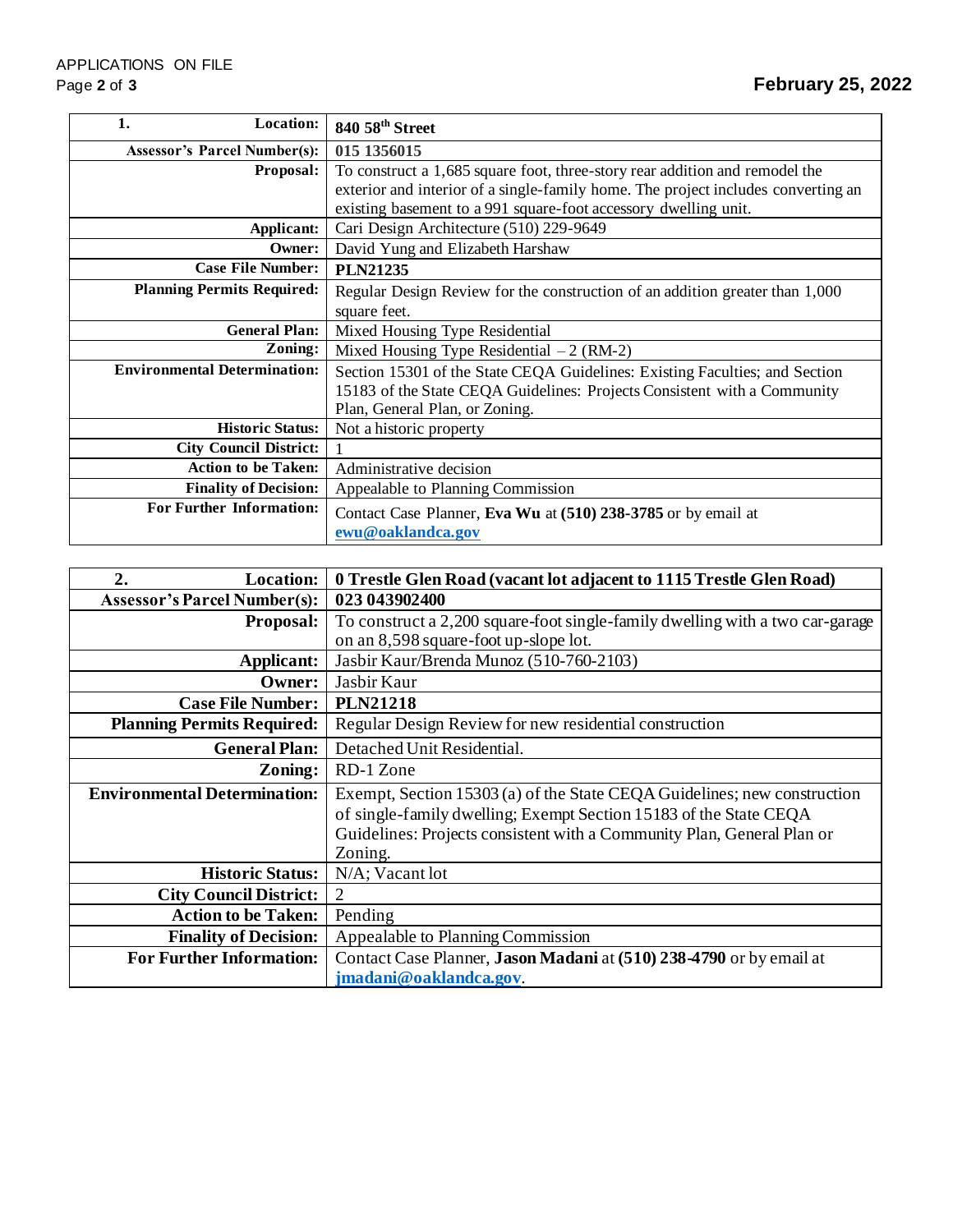| <b>Location:</b><br>1.              | 840 58th Street                                                                   |
|-------------------------------------|-----------------------------------------------------------------------------------|
| <b>Assessor's Parcel Number(s):</b> | 015 1356015                                                                       |
| Proposal:                           | To construct a 1,685 square foot, three-story rear addition and remodel the       |
|                                     | exterior and interior of a single-family home. The project includes converting an |
|                                     | existing basement to a 991 square-foot accessory dwelling unit.                   |
| Applicant:                          | Cari Design Architecture (510) 229-9649                                           |
| Owner:                              | David Yung and Elizabeth Harshaw                                                  |
| <b>Case File Number:</b>            | <b>PLN21235</b>                                                                   |
| <b>Planning Permits Required:</b>   | Regular Design Review for the construction of an addition greater than 1,000      |
|                                     | square feet.                                                                      |
| <b>General Plan:</b>                | Mixed Housing Type Residential                                                    |
| Zoning:                             | Mixed Housing Type Residential $-2$ (RM-2)                                        |
| <b>Environmental Determination:</b> | Section 15301 of the State CEQA Guidelines: Existing Faculties; and Section       |
|                                     | 15183 of the State CEQA Guidelines: Projects Consistent with a Community          |
|                                     | Plan, General Plan, or Zoning.                                                    |
| <b>Historic Status:</b>             | Not a historic property                                                           |
| <b>City Council District:</b>       |                                                                                   |
| <b>Action to be Taken:</b>          | Administrative decision                                                           |
| <b>Finality of Decision:</b>        | Appealable to Planning Commission                                                 |
| <b>For Further Information:</b>     | Contact Case Planner, Eva Wu at (510) 238-3785 or by email at                     |
|                                     | ewu@oaklandca.gov                                                                 |

| 2.<br><b>Location:</b>              | 0 Trestle Glen Road (vacant lot adjacent to 1115 Trestle Glen Road)           |
|-------------------------------------|-------------------------------------------------------------------------------|
| <b>Assessor's Parcel Number(s):</b> | 023 043902400                                                                 |
| <b>Proposal:</b>                    | To construct a 2,200 square-foot single-family dwelling with a two car-garage |
|                                     | on an 8,598 square-foot up-slope lot.                                         |
| Applicant:                          | Jasbir Kaur/Brenda Munoz (510-760-2103)                                       |
| Owner:                              | Jasbir Kaur                                                                   |
| <b>Case File Number:</b>            | <b>PLN21218</b>                                                               |
| <b>Planning Permits Required:</b>   | Regular Design Review for new residential construction                        |
| <b>General Plan:</b>                | Detached Unit Residential.                                                    |
| Zoning:                             | RD-1 Zone                                                                     |
| <b>Environmental Determination:</b> | Exempt, Section 15303 (a) of the State CEQA Guidelines; new construction      |
|                                     | of single-family dwelling; Exempt Section 15183 of the State CEQA             |
|                                     | Guidelines: Projects consistent with a Community Plan, General Plan or        |
|                                     | Zoning.                                                                       |
| <b>Historic Status:</b>             | N/A; Vacant lot                                                               |
| <b>City Council District:</b>       | 2                                                                             |
| <b>Action to be Taken:</b>          | Pending                                                                       |
| <b>Finality of Decision:</b>        | Appealable to Planning Commission                                             |
| <b>For Further Information:</b>     | Contact Case Planner, Jason Madani at (510) 238-4790 or by email at           |
|                                     | jmadani@oaklandca.gov.                                                        |